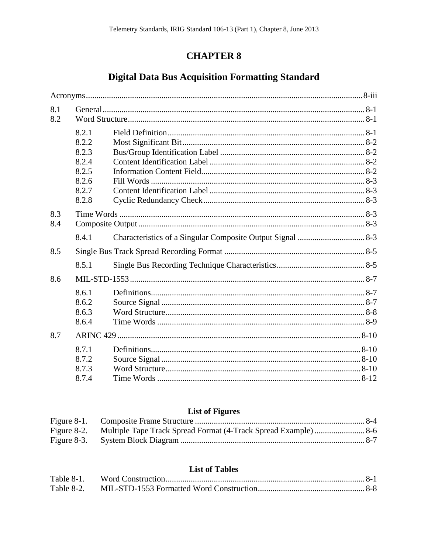# **CHAPTER 8**

# **Digital Data Bus Acquisition Formatting Standard**

| 8.1<br>8.2 |                                                                      |  |
|------------|----------------------------------------------------------------------|--|
|            | 8.2.1<br>8.2.2<br>8.2.3<br>8.2.4<br>8.2.5<br>8.2.6<br>8.2.7<br>8.2.8 |  |
| 8.3<br>8.4 |                                                                      |  |
|            | 8.4.1                                                                |  |
| 8.5        |                                                                      |  |
|            | 8.5.1                                                                |  |
| 8.6        |                                                                      |  |
|            | 8.6.1<br>8.6.2<br>8.6.3<br>8.6.4                                     |  |
| 8.7        |                                                                      |  |
|            | 8.7.1<br>8.7.2<br>8.7.3<br>8.7.4                                     |  |

### **List of Figures**

# **List of Tables**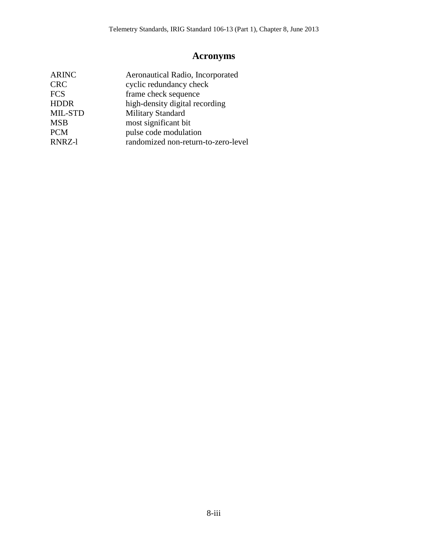# **Acronyms**

<span id="page-2-0"></span>

| Aeronautical Radio, Incorporated    |
|-------------------------------------|
|                                     |
|                                     |
|                                     |
|                                     |
|                                     |
|                                     |
| randomized non-return-to-zero-level |
|                                     |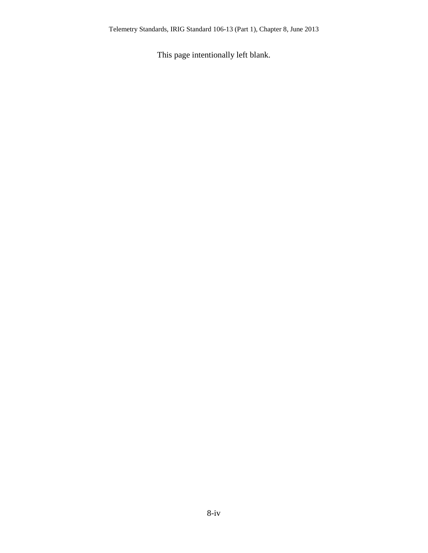This page intentionally left blank.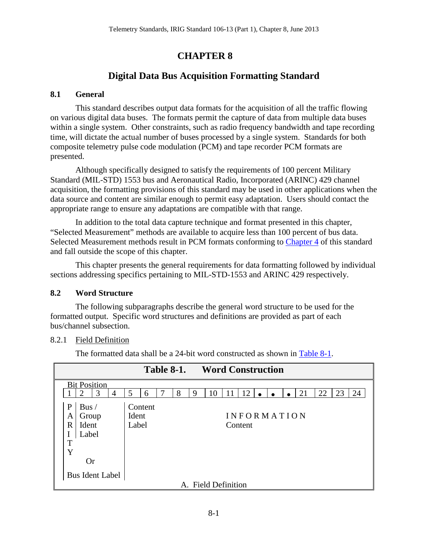# **CHAPTER 8**

# **Digital Data Bus Acquisition Formatting Standard**

### <span id="page-4-0"></span>**8.1 General**

This standard describes output data formats for the acquisition of all the traffic flowing on various digital data buses. The formats permit the capture of data from multiple data buses within a single system. Other constraints, such as radio frequency bandwidth and tape recording time, will dictate the actual number of buses processed by a single system. Standards for both composite telemetry pulse code modulation (PCM) and tape recorder PCM formats are presented.

Although specifically designed to satisfy the requirements of 100 percent Military Standard (MIL-STD) 1553 bus and Aeronautical Radio, Incorporated (ARINC) 429 channel acquisition, the formatting provisions of this standard may be used in other applications when the data source and content are similar enough to permit easy adaptation. Users should contact the appropriate range to ensure any adaptations are compatible with that range.

In addition to the total data capture technique and format presented in this chapter, "Selected Measurement" methods are available to acquire less than 100 percent of bus data. Selected Measurement methods result in PCM formats conforming to [Chapter 4](http://www.wsmr.army.mil/RCCsite/Documents/106-13_Telemetry_Standards/chapter4.pdf) of this standard and fall outside the scope of this chapter.

This chapter presents the general requirements for data formatting followed by individual sections addressing specifics pertaining to MIL-STD-1553 and ARINC 429 respectively.

## <span id="page-4-1"></span>**8.2 Word Structure**

The following subparagraphs describe the general word structure to be used for the formatted output. Specific word structures and definitions are provided as part of each bus/channel subsection.

### <span id="page-4-2"></span>8.2.1 Field Definition

The formatted data shall be a 24-bit word constructed as shown in [Table 8-1.](#page-4-3)

<span id="page-4-3"></span>

|                                                                                                                           | <b>Table 8-1. Word Construction</b>                                |
|---------------------------------------------------------------------------------------------------------------------------|--------------------------------------------------------------------|
| <b>Bit Position</b><br>3<br>4                                                                                             | 22<br>23<br>$\overline{2}$<br>24<br>5<br>8<br>ി<br>6<br>I ( )<br>ч |
| $\mathbf{P}$<br>Bus/<br>Group<br>A<br>$\mathbf R$<br>Ident<br>I<br>Label<br>T<br>Y<br><b>Or</b><br><b>Bus Ident Label</b> | Content<br>Ident<br><b>INFORMATION</b><br>Label<br>Content         |
|                                                                                                                           | A. Field Definition                                                |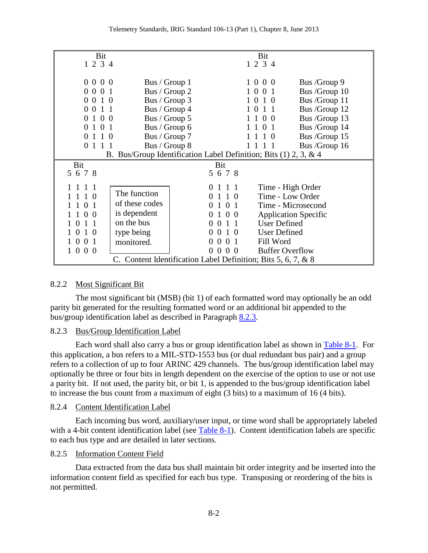| 0000<br>1000<br>Bus /Group 9<br>Bus / Group 1<br>Bus / Group 2<br>Bus /Group 10<br>$0\,0\,0$<br>10<br>$\Omega$<br>Bus / Group 3<br>Bus /Group 11<br>0 0 1<br>$\Omega$<br>101<br>$\Omega$<br>Bus / Group 4<br>Bus /Group 12<br>0 <sub>0</sub><br>$1\Omega$<br>Bus / Group 5<br>Bus /Group 13<br>0100<br>110<br>$\theta$<br>Bus /Group 14<br>Bus / Group 6<br>0 <sub>1</sub><br>$\Omega$<br>$\Omega$<br>$1 \; 1$<br>Bus / Group 7<br>Bus /Group 15<br>1 1 0<br>$\Omega$<br>$\Omega$<br>$\mathbf{1}$<br>Bus / Group 8<br>Bus /Group 16<br>$\Omega$<br>$\overline{1}$<br>$1 \; 1$<br>B. Bus/Group Identification Label Definition; Bits (1) 2, 3, & 4                                                                                                                                    |
|--------------------------------------------------------------------------------------------------------------------------------------------------------------------------------------------------------------------------------------------------------------------------------------------------------------------------------------------------------------------------------------------------------------------------------------------------------------------------------------------------------------------------------------------------------------------------------------------------------------------------------------------------------------------------------------------------------------------------------------------------------------------------------------|
| Bit<br>Bit<br>5678<br>5 6 7 8                                                                                                                                                                                                                                                                                                                                                                                                                                                                                                                                                                                                                                                                                                                                                        |
| $\overline{1}$<br>Time - High Order<br>$\Omega$<br>$1\quad1$<br>The function<br>Time - Low Order<br>0110<br>of these codes<br>Time - Microsecond<br>$\Omega$<br>$\overline{1}$<br>$\Omega$<br>$\Omega$<br>is dependent<br>-1<br><b>Application Specific</b><br>$\mathbf{1}$<br>$\theta$<br>$\Omega$<br>0 <sub>0</sub><br>$\Omega$<br>on the bus<br><b>User Defined</b><br>$\Omega$<br>$\overline{1}$<br>$\overline{0}$<br>$\overline{1}$<br>$\Omega$<br>$\mathbf{0}$<br>type being<br>$0\,0$<br><b>User Defined</b><br>1 0<br>$\overline{1}$<br>$\Omega$<br>Fill Word<br>monitored.<br>$\Omega$<br>0<br>$\Omega$<br>$\Omega$<br><b>Buffer Overflow</b><br>$0\,0\,0$<br>$\Omega$<br>$\Omega$<br>$\Omega$<br>$\Omega$<br>C. Content Identification Label Definition; Bits 5, 6, 7, & 8 |

#### <span id="page-5-0"></span>8.2.2 Most Significant Bit

The most significant bit (MSB) (bit 1) of each formatted word may optionally be an odd parity bit generated for the resulting formatted word or an additional bit appended to the bus/group identification label as described in Paragraph [8.2.3.](#page-5-1)

#### <span id="page-5-1"></span>8.2.3 Bus/Group Identification Label

Each word shall also carry a bus or group identification label as shown in [Table 8-1.](#page-4-3) For this application, a bus refers to a MIL-STD-1553 bus (or dual redundant bus pair) and a group refers to a collection of up to four ARINC 429 channels. The bus/group identification label may optionally be three or four bits in length dependent on the exercise of the option to use or not use a parity bit. If not used, the parity bit, or bit 1, is appended to the bus/group identification label to increase the bus count from a maximum of eight (3 bits) to a maximum of 16 (4 bits).

#### <span id="page-5-2"></span>8.2.4 Content Identification Label

Each incoming bus word, auxiliary/user input, or time word shall be appropriately labeled with a 4-bit content identification label (see [Table 8-1\)](#page-4-3). Content identification labels are specific to each bus type and are detailed in later sections.

#### <span id="page-5-3"></span>8.2.5 Information Content Field

Data extracted from the data bus shall maintain bit order integrity and be inserted into the information content field as specified for each bus type. Transposing or reordering of the bits is not permitted.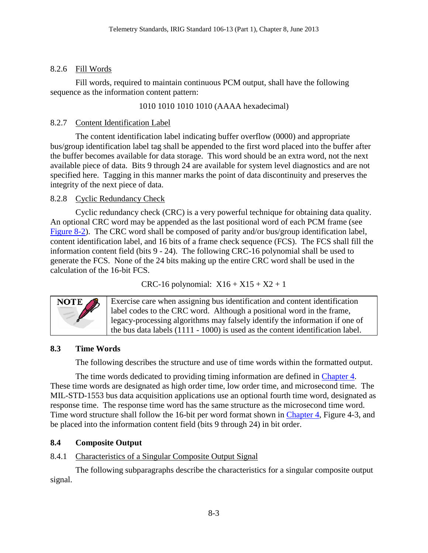# <span id="page-6-0"></span>8.2.6 Fill Words

Fill words, required to maintain continuous PCM output, shall have the following sequence as the information content pattern:

1010 1010 1010 1010 (AAAA hexadecimal)

# <span id="page-6-1"></span>8.2.7 Content Identification Label

The content identification label indicating buffer overflow (0000) and appropriate bus/group identification label tag shall be appended to the first word placed into the buffer after the buffer becomes available for data storage. This word should be an extra word, not the next available piece of data. Bits 9 through 24 are available for system level diagnostics and are not specified here. Tagging in this manner marks the point of data discontinuity and preserves the integrity of the next piece of data.

# <span id="page-6-2"></span>8.2.8 Cyclic Redundancy Check

Cyclic redundancy check (CRC) is a very powerful technique for obtaining data quality. An optional CRC word may be appended as the last positional word of each PCM frame (see [Figure 8-2\)](#page-9-0). The CRC word shall be composed of parity and/or bus/group identification label, content identification label, and 16 bits of a frame check sequence (FCS). The FCS shall fill the information content field (bits 9 - 24). The following CRC-16 polynomial shall be used to generate the FCS. None of the 24 bits making up the entire CRC word shall be used in the calculation of the 16-bit FCS.

CRC-16 polynomial:  $X16 + X15 + X2 + 1$ 



Exercise care when assigning bus identification and content identification label codes to the CRC word. Although a positional word in the frame, legacy-processing algorithms may falsely identify the information if one of the bus data labels (1111 - 1000) is used as the content identification label.

# <span id="page-6-3"></span>**8.3 Time Words**

The following describes the structure and use of time words within the formatted output.

The time words dedicated to providing timing information are defined in [Chapter 4.](http://www.wsmr.army.mil/RCCsite/Documents/106-13_Telemetry_Standards/chapter4.pdf) These time words are designated as high order time, low order time, and microsecond time. The MIL-STD-1553 bus data acquisition applications use an optional fourth time word, designated as response time. The response time word has the same structure as the microsecond time word. Time word structure shall follow the 16-bit per word format shown in [Chapter 4,](http://www.wsmr.army.mil/RCCsite/Documents/106-13_Telemetry_Standards/chapter4.pdf) Figure 4-3, and be placed into the information content field (bits 9 through 24) in bit order.

# <span id="page-6-4"></span>**8.4 Composite Output**

# <span id="page-6-5"></span>8.4.1 Characteristics of a Singular Composite Output Signal

The following subparagraphs describe the characteristics for a singular composite output signal.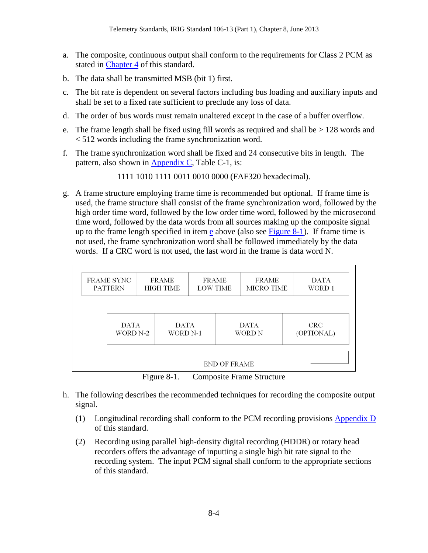- a. The composite, continuous output shall conform to the requirements for Class 2 PCM as stated in [Chapter 4](http://www.wsmr.army.mil/RCCsite/Documents/106-13_Telemetry_Standards/chapter4.pdf) of this standard.
- b. The data shall be transmitted MSB (bit 1) first.
- c. The bit rate is dependent on several factors including bus loading and auxiliary inputs and shall be set to a fixed rate sufficient to preclude any loss of data.
- d. The order of bus words must remain unaltered except in the case of a buffer overflow.
- <span id="page-7-1"></span>e. The frame length shall be fixed using fill words as required and shall be > 128 words and < 512 words including the frame synchronization word.
- <span id="page-7-2"></span>f. The frame synchronization word shall be fixed and 24 consecutive bits in length. The pattern, also shown in [Appendix C,](http://www.wsmr.army.mil/RCCsite/Documents/106-13_Telemetry_Standards/appendixC.pdf) Table C-1, is:

1111 1010 1111 0011 0010 0000 (FAF320 hexadecimal).

g. A frame structure employing frame time is recommended but optional. If frame time is used, the frame structure shall consist of the frame synchronization word, followed by the high order time word, followed by the low order time word, followed by the microsecond time word, followed by the data words from all sources making up the composite signal up to the frame length specified in item [e](#page-7-1) above (also see [Figure 8-1\)](#page-7-0). If frame time is not used, the frame synchronization word shall be followed immediately by the data words. If a CRC word is not used, the last word in the frame is data word N.

| <b>FRAME SYNC</b><br><b>PATTERN</b> |  | <b>FRAME</b><br><b>HIGH TIME</b> |  | <b>FRAME</b><br><b>FRAME</b><br><b>LOW TIME</b><br><b>MICRO TIME</b> |  | <b>DATA</b><br>WORD 1    |
|-------------------------------------|--|----------------------------------|--|----------------------------------------------------------------------|--|--------------------------|
| DATA<br>WORD N-2                    |  | DATA<br>WORD N-1                 |  | <b>DATA</b><br>WORD N                                                |  | <b>CRC</b><br>(OPTIONAL) |
| <b>END OF FRAME</b>                 |  |                                  |  |                                                                      |  |                          |

Figure 8-1. Composite Frame Structure

- <span id="page-7-0"></span>h. The following describes the recommended techniques for recording the composite output signal.
	- (1) Longitudinal recording shall conform to the PCM recording provisions [Appendix](http://www.wsmr.army.mil/RCCsite/Documents/106-13_Telemetry_Standards/AppendixD.pdf) D of this standard.
	- (2) Recording using parallel high-density digital recording (HDDR) or rotary head recorders offers the advantage of inputting a single high bit rate signal to the recording system. The input PCM signal shall conform to the appropriate sections of this standard.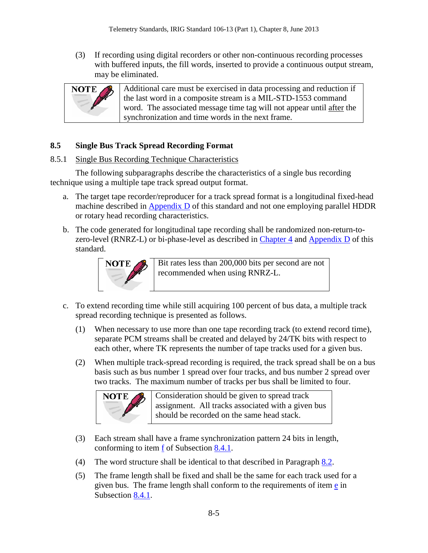(3) If recording using digital recorders or other non-continuous recording processes with buffered inputs, the fill words, inserted to provide a continuous output stream, may be eliminated.



Additional care must be exercised in data processing and reduction if the last word in a composite stream is a MIL-STD-1553 command word. The associated message time tag will not appear until after the synchronization and time words in the next frame.

# <span id="page-8-0"></span>**8.5 Single Bus Track Spread Recording Format**

### <span id="page-8-1"></span>8.5.1 Single Bus Recording Technique Characteristics

The following subparagraphs describe the characteristics of a single bus recording technique using a multiple tape track spread output format.

- a. The target tape recorder/reproducer for a track spread format is a longitudinal fixed-head machine described in [Appendix D](http://www.wsmr.army.mil/RCCsite/Documents/106-13_Telemetry_Standards/AppendixD.pdf) of this standard and not one employing parallel HDDR or rotary head recording characteristics.
- b. The code generated for longitudinal tape recording shall be randomized non-return-to-zero-level (RNRZ-L) or bi-phase-level as described in [Chapter 4](http://www.wsmr.army.mil/RCCsite/Documents/106-13_Telemetry_Standards/chapter4.pdf) and [Appendix D](http://www.wsmr.army.mil/RCCsite/Documents/106-13_Telemetry_Standards/AppendixD.pdf) of this standard.



Bit rates less than 200,000 bits per second are not recommended when using RNRZ-L.

- c. To extend recording time while still acquiring 100 percent of bus data, a multiple track spread recording technique is presented as follows.
	- (1) When necessary to use more than one tape recording track (to extend record time), separate PCM streams shall be created and delayed by 24/TK bits with respect to each other, where TK represents the number of tape tracks used for a given bus.
	- (2) When multiple track-spread recording is required, the track spread shall be on a bus basis such as bus number 1 spread over four tracks, and bus number 2 spread over two tracks. The maximum number of tracks per bus shall be limited to four.



- (3) Each stream shall have a frame synchronization pattern 24 bits in length, conforming to item  $\underline{f}$  of Subsection [8.4.1.](#page-6-5)
- (4) The word structure shall be identical to that described in Paragraph [8.2.](#page-4-1)
- (5) The frame length shall be fixed and shall be the same for each track used for a given bus. The frame length shall conform to the requirements of item [e](#page-7-1) in Subsection [8.4.1.](#page-6-5)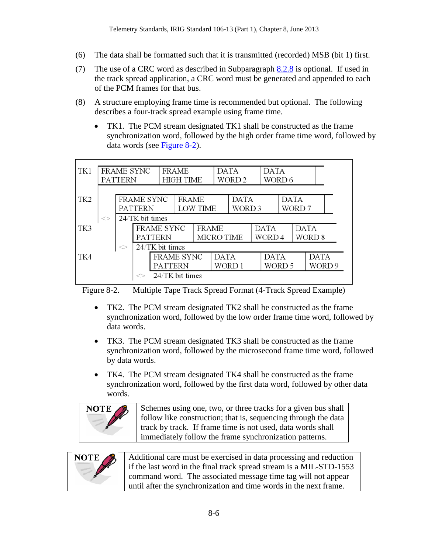- (6) The data shall be formatted such that it is transmitted (recorded) MSB (bit 1) first.
- (7) The use of a CRC word as described in Subparagraph  $8.2.8$  is optional. If used in the track spread application, a CRC word must be generated and appended to each of the PCM frames for that bus.
- (8) A structure employing frame time is recommended but optional. The following describes a four-track spread example using frame time.
	- TK1. The PCM stream designated TK1 shall be constructed as the frame synchronization word, followed by the high order frame time word, followed by data words (see [Figure 8-2\)](#page-9-0).



<span id="page-9-0"></span>Figure 8-2. Multiple Tape Track Spread Format (4-Track Spread Example)

- TK2. The PCM stream designated TK2 shall be constructed as the frame synchronization word, followed by the low order frame time word, followed by data words.
- TK3. The PCM stream designated TK3 shall be constructed as the frame synchronization word, followed by the microsecond frame time word, followed by data words.
- TK4. The PCM stream designated TK4 shall be constructed as the frame synchronization word, followed by the first data word, followed by other data words.



Schemes using one, two, or three tracks for a given bus shall follow like construction; that is, sequencing through the data track by track. If frame time is not used, data words shall immediately follow the frame synchronization patterns.

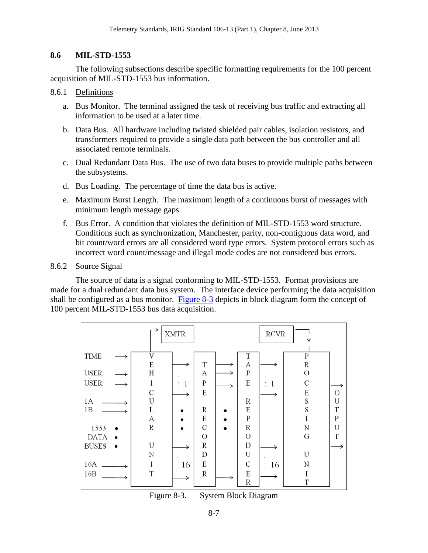### <span id="page-10-0"></span>**8.6 MIL-STD-1553**

The following subsections describe specific formatting requirements for the 100 percent acquisition of MIL-STD-1553 bus information.

#### <span id="page-10-1"></span>8.6.1 Definitions

- a. Bus Monitor. The terminal assigned the task of receiving bus traffic and extracting all information to be used at a later time.
- b. Data Bus. All hardware including twisted shielded pair cables, isolation resistors, and transformers required to provide a single data path between the bus controller and all associated remote terminals.
- c. Dual Redundant Data Bus. The use of two data buses to provide multiple paths between the subsystems.
- d. Bus Loading. The percentage of time the data bus is active.
- e. Maximum Burst Length. The maximum length of a continuous burst of messages with minimum length message gaps.
- <span id="page-10-4"></span>f. Bus Error. A condition that violates the definition of MIL-STD-1553 word structure. Conditions such as synchronization, Manchester, parity, non-contiguous data word, and bit count/word errors are all considered word type errors. System protocol errors such as incorrect word count/message and illegal mode codes are not considered bus errors.

### <span id="page-10-2"></span>8.6.2 Source Signal

The source of data is a signal conforming to MIL-STD-1553. Format provisions are made for a dual redundant data bus system. The interface device performing the data acquisition shall be configured as a bus monitor. [Figure 8-3](#page-10-3) depicts in block diagram form the concept of 100 percent MIL-STD-1553 bus data acquisition.



<span id="page-10-3"></span>Figure 8-3. System Block Diagram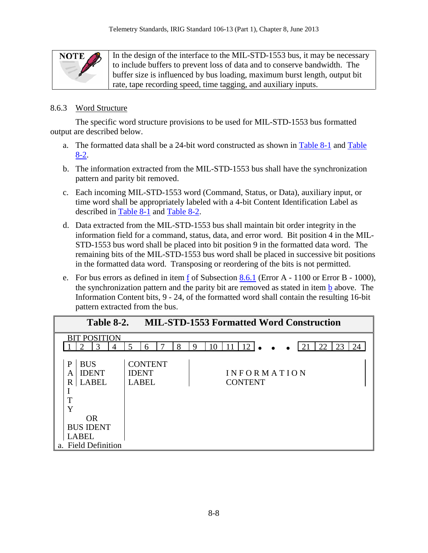

In the design of the interface to the MIL-STD-1553 bus, it may be necessary to include buffers to prevent loss of data and to conserve bandwidth. The buffer size is influenced by bus loading, maximum burst length, output bit rate, tape recording speed, time tagging, and auxiliary inputs.

## <span id="page-11-0"></span>8.6.3 Word Structure

The specific word structure provisions to be used for MIL-STD-1553 bus formatted output are described below.

- a. The formatted data shall be a 24-bit word constructed as shown in [Table 8-1](#page-4-3) and Table [8-2.](#page-11-1)
- <span id="page-11-2"></span>b. The information extracted from the MIL-STD-1553 bus shall have the synchronization pattern and parity bit removed.
- c. Each incoming MIL-STD-1553 word (Command, Status, or Data), auxiliary input, or time word shall be appropriately labeled with a 4-bit Content Identification Label as described in [Table 8-1](#page-4-3) and [Table 8-2.](#page-11-1)
- d. Data extracted from the MIL-STD-1553 bus shall maintain bit order integrity in the information field for a command, status, data, and error word. Bit position 4 in the MIL-STD-1553 bus word shall be placed into bit position 9 in the formatted data word. The remaining bits of the MIL-STD-1553 bus word shall be placed in successive bit positions in the formatted data word. Transposing or reordering of the bits is not permitted.
- e. For bus errors as defined in item [f](#page-10-4) of Subsection [8.6.1](#page-10-1) (Error A 1100 or Error B 1000), the synchronization pattern and the parity [b](#page-11-2)it are removed as stated in item  $\frac{b}{c}$  above. The Information Content bits, 9 - 24, of the formatted word shall contain the resulting 16-bit pattern extracted from the bus.

<span id="page-11-1"></span>

| <b>Table 8-2.</b>                                                                                                                                   | <b>MIL-STD-1553 Formatted Word Construction</b>                                        |
|-----------------------------------------------------------------------------------------------------------------------------------------------------|----------------------------------------------------------------------------------------|
| <b>BIT POSITION</b>                                                                                                                                 | 12<br>22<br>23<br>24<br>10<br>6                                                        |
| <b>BUS</b><br>P<br><b>IDENT</b><br>A<br><b>LABEL</b><br>$\mathbf R$<br>T<br>Y<br>OR.<br><b>BUS IDENT</b><br><b>LABEL</b><br><b>Field Definition</b> | <b>CONTENT</b><br><b>IDENT</b><br><b>INFORMATION</b><br><b>LABEL</b><br><b>CONTENT</b> |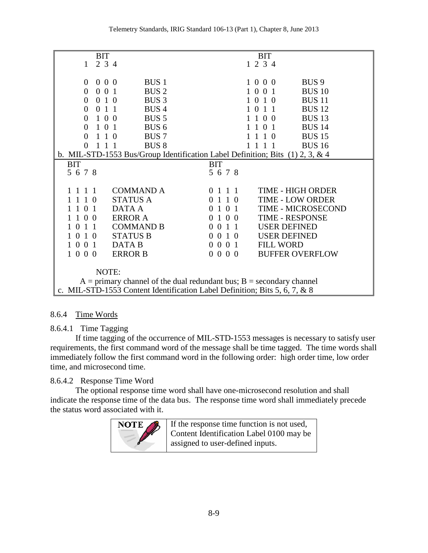| <b>BIT</b>                                                                    | <b>BIT</b>                                |  |  |  |  |  |
|-------------------------------------------------------------------------------|-------------------------------------------|--|--|--|--|--|
| 2 3 4<br>$\mathbf{1}$                                                         | 1 2 3 4                                   |  |  |  |  |  |
| $0\,0\,0$<br><b>BUS1</b><br>$\mathbf{0}$                                      | BUS <sub>9</sub><br>1 0 0 0               |  |  |  |  |  |
| $\overline{0}$<br>$0\;0\;1$<br>BUS <sub>2</sub>                               | 1 0 0 1<br><b>BUS 10</b>                  |  |  |  |  |  |
|                                                                               |                                           |  |  |  |  |  |
| BUS <sub>3</sub><br>$\boldsymbol{0}$<br>010                                   | <b>BUS</b> 11<br>1 0 1 0                  |  |  |  |  |  |
| $\theta$<br>011<br>BUS <sub>4</sub>                                           | <b>BUS 12</b><br>1 0 1 1                  |  |  |  |  |  |
| $\boldsymbol{0}$<br>1 0 0<br>BUS <sub>5</sub>                                 | 1 1 0 0<br><b>BUS 13</b>                  |  |  |  |  |  |
| $\overline{0}$<br>$1 \t0 \t1$<br>BUS <sub>6</sub>                             | <b>BUS 14</b><br>$1 \t0 \t1$<br>1         |  |  |  |  |  |
| $\theta$<br><b>BUS7</b><br>$1 \; 1 \; 0$                                      | <b>BUS 15</b><br>1<br>$\overline{0}$      |  |  |  |  |  |
| $\overline{0}$<br>BUS <sub>8</sub><br>1 1 1                                   | <b>BUS 16</b><br>1111                     |  |  |  |  |  |
| b. MIL-STD-1553 Bus/Group Identification Label Definition; Bits (1) 2, 3, & 4 |                                           |  |  |  |  |  |
| <b>BIT</b>                                                                    | <b>BIT</b>                                |  |  |  |  |  |
| 5 6 7 8                                                                       | 5 6 7 8                                   |  |  |  |  |  |
|                                                                               |                                           |  |  |  |  |  |
| $1 \t1 \t1 \t1$<br><b>COMMAND A</b>                                           | 0111<br><b>TIME - HIGH ORDER</b>          |  |  |  |  |  |
| <b>STATUS A</b><br>1 1 1 0                                                    | <b>TIME - LOW ORDER</b><br>0110           |  |  |  |  |  |
| 1 1 0 1<br>DATA A                                                             | 0101<br><b>TIME - MICROSECOND</b>         |  |  |  |  |  |
| 1 1 0 0<br><b>ERROR A</b>                                                     | 0100<br><b>TIME - RESPONSE</b>            |  |  |  |  |  |
| 1 0 1 1<br><b>COMMAND B</b>                                                   | $0 \t0 \t1 \t1$<br><b>USER DEFINED</b>    |  |  |  |  |  |
| 1010<br><b>STATUS B</b>                                                       | <b>USER DEFINED</b><br>0 0 1 0            |  |  |  |  |  |
| 1 0 0 1<br>DATA B                                                             | 0 0 0 1<br><b>FILL WORD</b>               |  |  |  |  |  |
| 1000<br><b>ERROR B</b>                                                        | $0\; 0\; 0\; 0$<br><b>BUFFER OVERFLOW</b> |  |  |  |  |  |
|                                                                               |                                           |  |  |  |  |  |
| NOTE:                                                                         |                                           |  |  |  |  |  |
| $A =$ primary channel of the dual redundant bus; $B =$ secondary channel      |                                           |  |  |  |  |  |
| c. MIL-STD-1553 Content Identification Label Definition; Bits 5, 6, 7, & 8    |                                           |  |  |  |  |  |
|                                                                               |                                           |  |  |  |  |  |

#### <span id="page-12-0"></span>8.6.4 Time Words

#### 8.6.4.1 Time Tagging

If time tagging of the occurrence of MIL-STD-1553 messages is necessary to satisfy user requirements, the first command word of the message shall be time tagged. The time words shall immediately follow the first command word in the following order: high order time, low order time, and microsecond time.

### 8.6.4.2 Response Time Word

The optional response time word shall have one-microsecond resolution and shall indicate the response time of the data bus. The response time word shall immediately precede the status word associated with it.

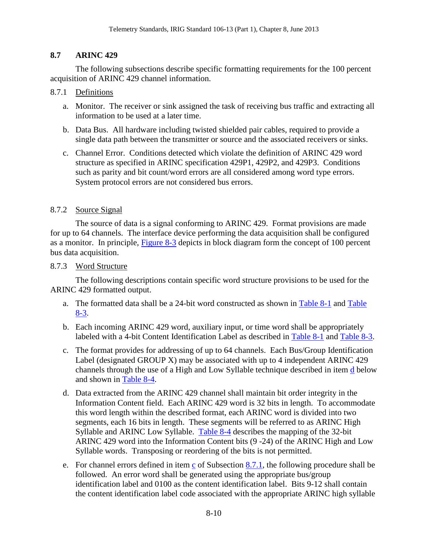## <span id="page-13-0"></span>**8.7 ARINC 429**

The following subsections describe specific formatting requirements for the 100 percent acquisition of ARINC 429 channel information.

## <span id="page-13-1"></span>8.7.1 Definitions

- a. Monitor. The receiver or sink assigned the task of receiving bus traffic and extracting all information to be used at a later time.
- b. Data Bus. All hardware including twisted shielded pair cables, required to provide a single data path between the transmitter or source and the associated receivers or sinks.
- <span id="page-13-5"></span>c. Channel Error. Conditions detected which violate the definition of ARINC 429 word structure as specified in ARINC specification 429P1, 429P2, and 429P3. Conditions such as parity and bit count/word errors are all considered among word type errors. System protocol errors are not considered bus errors.

## <span id="page-13-2"></span>8.7.2 Source Signal

The source of data is a signal conforming to ARINC 429. Format provisions are made for up to 64 channels. The interface device performing the data acquisition shall be configured as a monitor. In principle, [Figure 8-3](#page-10-3) depicts in block diagram form the concept of 100 percent bus data acquisition.

### <span id="page-13-3"></span>8.7.3 Word Structure

The following descriptions contain specific word structure provisions to be used for the ARINC 429 formatted output.

- a. The formatted data shall be a 24-bit word constructed as shown in [Table 8-1](#page-4-3) and [Table](#page-14-0)  [8-3.](#page-14-0)
- b. Each incoming ARINC 429 word, auxiliary input, or time word shall be appropriately labeled with a 4-bit Content Identification Label as described in [Table 8-1](#page-4-3) and [Table 8-3.](#page-14-0)
- c. The format provides for addressing of up to 64 channels. Each Bus/Group Identification Label (designated GROUP X) may be associated with up to 4 independent ARINC 429 channels through the use of a High and Low Syllable technique described in item [d](#page-13-4) below and shown in [Table 8-4.](#page-15-1)
- <span id="page-13-4"></span>d. Data extracted from the ARINC 429 channel shall maintain bit order integrity in the Information Content field. Each ARINC 429 word is 32 bits in length. To accommodate this word length within the described format, each ARINC word is divided into two segments, each 16 bits in length. These segments will be referred to as ARINC High Syllable and ARINC Low Syllable. [Table 8-4](#page-15-1) describes the mapping of the 32-bit ARINC 429 word into the Information Content bits (9 -24) of the ARINC High and Low Syllable words. Transposing or reordering of the bits is not permitted.
- e. For [c](#page-13-5)hannel errors defined in item  $\tilde{c}$  of Subsection [8.7.1,](#page-13-1) the following procedure shall be followed. An error word shall be generated using the appropriate bus/group identification label and 0100 as the content identification label. Bits 9-12 shall contain the content identification label code associated with the appropriate ARINC high syllable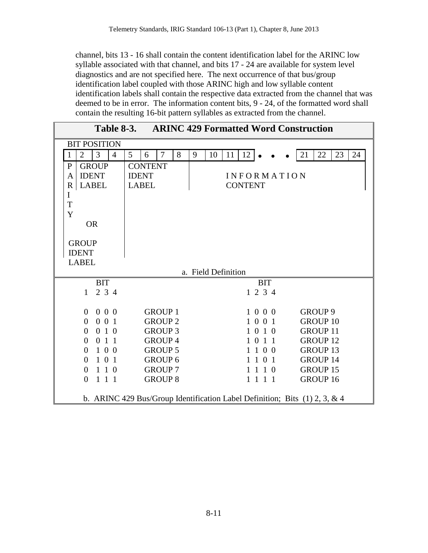channel, bits 13 - 16 shall contain the content identification label for the ARINC low syllable associated with that channel, and bits 17 - 24 are available for system level diagnostics and are not specified here. The next occurrence of that bus/group identification label coupled with those ARINC high and low syllable content identification labels shall contain the respective data extracted from the channel that was deemed to be in error. The information content bits, 9 - 24, of the formatted word shall contain the resulting 16-bit pattern syllables as extracted from the channel.

<span id="page-14-0"></span>

|                                              |                                  | Table 8-3. ARINC 429 Formatted Word Construction                           |  |  |  |  |
|----------------------------------------------|----------------------------------|----------------------------------------------------------------------------|--|--|--|--|
| <b>BIT POSITION</b>                          |                                  |                                                                            |  |  |  |  |
| 3<br>$\overline{2}$<br>$\overline{4}$<br>1   | 8<br>5<br>6<br>7                 | 22<br>23<br>9<br>10<br>11<br>12<br>24<br>21                                |  |  |  |  |
| P<br><b>GROUP</b>                            | <b>CONTENT</b>                   |                                                                            |  |  |  |  |
| <b>IDENT</b><br>$\mathbf{A}$                 | <b>IDENT</b>                     | <b>INFORMATION</b>                                                         |  |  |  |  |
| $R$ LABEL                                    | <b>LABEL</b>                     | <b>CONTENT</b>                                                             |  |  |  |  |
| I                                            |                                  |                                                                            |  |  |  |  |
| T                                            |                                  |                                                                            |  |  |  |  |
| Y                                            |                                  |                                                                            |  |  |  |  |
| <b>OR</b>                                    |                                  |                                                                            |  |  |  |  |
| <b>GROUP</b>                                 |                                  |                                                                            |  |  |  |  |
| <b>IDENT</b>                                 |                                  |                                                                            |  |  |  |  |
| <b>LABEL</b>                                 |                                  |                                                                            |  |  |  |  |
|                                              |                                  | a. Field Definition                                                        |  |  |  |  |
| <b>BIT</b>                                   |                                  | <b>BIT</b>                                                                 |  |  |  |  |
| 2 3 4<br>$\mathbf{1}$                        |                                  | 1234                                                                       |  |  |  |  |
|                                              |                                  |                                                                            |  |  |  |  |
| $0\,0\,0$<br>$\Omega$                        | <b>GROUP 1</b>                   | GROUP <sub>9</sub><br>1000                                                 |  |  |  |  |
| $0\;\;0\;\;1$<br>$\Omega$                    | <b>GROUP 2</b>                   | <b>GROUP 10</b><br>1 0 0 1                                                 |  |  |  |  |
| $\Omega$<br>$0\quad1\quad0$                  | <b>GROUP 3</b>                   | <b>GROUP 11</b><br>$1 \; 0 \; 1$<br>$\theta$                               |  |  |  |  |
| $0 \; 1 \; 1$<br>$\Omega$                    | <b>GROUP 4</b>                   | <b>GROUP 12</b><br>$\Omega$ 1                                              |  |  |  |  |
| $\theta$<br>1 0 0                            | <b>GROUP 5</b>                   | <b>GROUP 13</b><br>10<br>$\theta$<br>1                                     |  |  |  |  |
| $1 \t0 \t1$<br>$\Omega$<br>1 1 0<br>$\Omega$ | <b>GROUP 6</b><br><b>GROUP 7</b> | <b>GROUP 14</b><br>1 0<br>$\overline{1}$<br><b>GROUP 15</b><br>$\Omega$    |  |  |  |  |
| 111<br>$\theta$                              | <b>GROUP 8</b>                   | <b>GROUP 16</b><br>1 1 1 1                                                 |  |  |  |  |
|                                              |                                  |                                                                            |  |  |  |  |
|                                              |                                  | b. ARINC 429 Bus/Group Identification Label Definition; Bits (1) 2, 3, & 4 |  |  |  |  |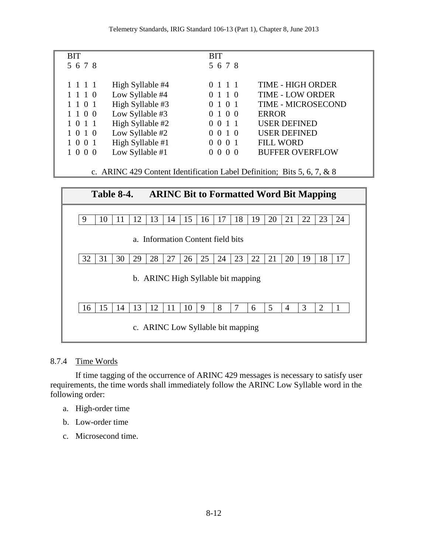| BIT<br>5 6 7 8 |                  | BIT<br>5 6 7 8  |                           |
|----------------|------------------|-----------------|---------------------------|
| 1 1 1 1        | High Syllable #4 | 0111            | <b>TIME - HIGH ORDER</b>  |
| 1 1 1 0        | Low Syllable #4  | 0110            | <b>TIME - LOW ORDER</b>   |
| 1 1 0 1        | High Syllable #3 | 0101            | <b>TIME - MICROSECOND</b> |
| 1 1 0 0        | Low Syllable #3  | 0100            | <b>ERROR</b>              |
| 1 0 1 1        | High Syllable #2 | $0 \t0 \t1 \t1$ | <b>USER DEFINED</b>       |
| 1010           | Low Syllable #2  | $0\; 0\; 1\; 0$ | <b>USER DEFINED</b>       |
| 1 0 0 1        | High Syllable #1 | 0 0 0 1         | <b>FILL WORD</b>          |
| 1000           | Low Syllable #1  | $0\; 0\; 0\; 0$ | <b>BUFFER OVERFLOW</b>    |

<span id="page-15-1"></span>

## <span id="page-15-0"></span>8.7.4 Time Words

If time tagging of the occurrence of ARINC 429 messages is necessary to satisfy user requirements, the time words shall immediately follow the ARINC Low Syllable word in the following order:

- a. High-order time
- b. Low-order time
- c. Microsecond time.